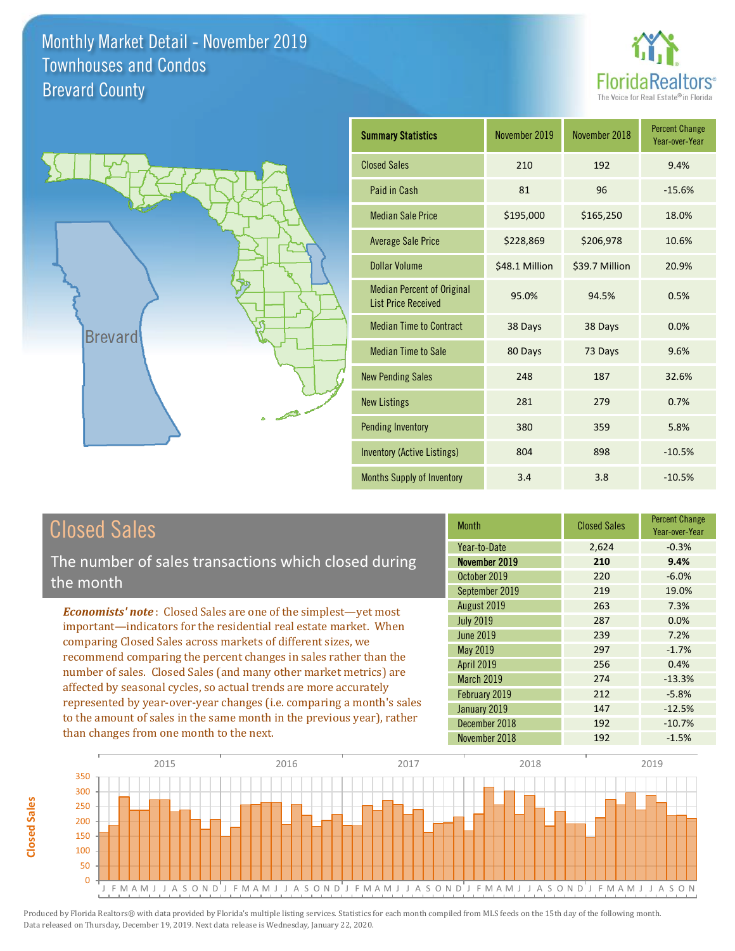



| <b>Summary Statistics</b>                                       | November 2019  | November 2018  | <b>Percent Change</b><br>Year-over-Year |
|-----------------------------------------------------------------|----------------|----------------|-----------------------------------------|
| <b>Closed Sales</b>                                             | 210            | 192            | 9.4%                                    |
| Paid in Cash                                                    | 81             | 96             | $-15.6%$                                |
| <b>Median Sale Price</b>                                        | \$195,000      | \$165,250      | 18.0%                                   |
| <b>Average Sale Price</b>                                       | \$228,869      | \$206,978      | 10.6%                                   |
| Dollar Volume                                                   | \$48.1 Million | \$39.7 Million | 20.9%                                   |
| <b>Median Percent of Original</b><br><b>List Price Received</b> | 95.0%          | 94.5%          | 0.5%                                    |
| <b>Median Time to Contract</b>                                  | 38 Days        | 38 Days        | 0.0%                                    |
| <b>Median Time to Sale</b>                                      | 80 Days        | 73 Days        | 9.6%                                    |
| <b>New Pending Sales</b>                                        | 248            | 187            | 32.6%                                   |
| <b>New Listings</b>                                             | 281            | 279            | 0.7%                                    |
| <b>Pending Inventory</b>                                        | 380            | 359            | 5.8%                                    |
| <b>Inventory (Active Listings)</b>                              | 804            | 898            | $-10.5%$                                |
| Months Supply of Inventory                                      | 3.4            | 3.8            | $-10.5%$                                |

## Closed Sales

The number of sales transactions which closed during the month

*Economists' note* : Closed Sales are one of the simplest—yet most important—indicators for the residential real estate market. When comparing Closed Sales across markets of different sizes, we recommend comparing the percent changes in sales rather than the number of sales. Closed Sales (and many other market metrics) are affected by seasonal cycles, so actual trends are more accurately represented by year-over-year changes (i.e. comparing a month's sales to the amount of sales in the same month in the previous year), rather than changes from one month to the next.

| Month            | <b>Closed Sales</b> | <b>Percent Change</b><br>Year-over-Year |
|------------------|---------------------|-----------------------------------------|
| Year-to-Date     | 2,624               | $-0.3%$                                 |
| November 2019    | 210                 | 9.4%                                    |
| October 2019     | 220                 | $-6.0%$                                 |
| September 2019   | 219                 | 19.0%                                   |
| August 2019      | 263                 | 7.3%                                    |
| <b>July 2019</b> | 287                 | 0.0%                                    |
| <b>June 2019</b> | 239                 | 7.2%                                    |
| May 2019         | 297                 | $-1.7%$                                 |
| April 2019       | 256                 | 0.4%                                    |
| March 2019       | 274                 | $-13.3%$                                |
| February 2019    | 212                 | $-5.8%$                                 |
| January 2019     | 147                 | $-12.5%$                                |
| December 2018    | 192                 | $-10.7%$                                |
| November 2018    | 192                 | $-1.5%$                                 |



**Closed Sales**

**Closed Sales**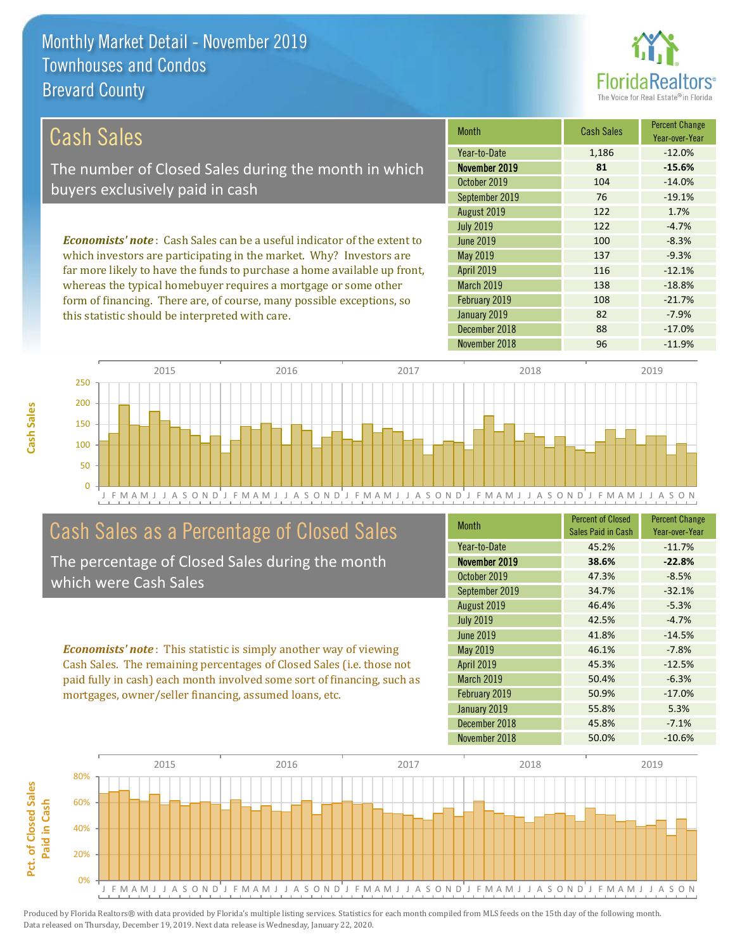this statistic should be interpreted with care.



82 -7.9%

| Cash Sales                                                                     | <b>Month</b>      | <b>Cash Sales</b> | <b>Percent Change</b><br>Year-over-Year |
|--------------------------------------------------------------------------------|-------------------|-------------------|-----------------------------------------|
|                                                                                | Year-to-Date      | 1,186             | $-12.0%$                                |
| The number of Closed Sales during the month in which                           | November 2019     | 81                | $-15.6%$                                |
| buyers exclusively paid in cash                                                | October 2019      | 104               | $-14.0%$                                |
|                                                                                | September 2019    | 76                | $-19.1%$                                |
|                                                                                | August 2019       | 122               | 1.7%                                    |
|                                                                                | <b>July 2019</b>  | 122               | $-4.7%$                                 |
| <b>Economists' note:</b> Cash Sales can be a useful indicator of the extent to | June 2019         | 100               | $-8.3%$                                 |
| which investors are participating in the market. Why? Investors are            | May 2019          | 137               | $-9.3%$                                 |
| far more likely to have the funds to purchase a home available up front,       | <b>April 2019</b> | 116               | $-12.1%$                                |
| whereas the typical homebuyer requires a mortgage or some other                | <b>March 2019</b> | 138               | $-18.8%$                                |
| form of financing. There are, of course, many possible exceptions, so          | February 2019     | 108               | $-21.7%$                                |

J F M A M J J A S O N D J F M A M J J A S O N D J F M A M J J A S O N D J F M A M J J A S O N D J F M A M J J A S O N 0 50 100 150 200 250 2015 2016 2016 2017 2018 2018 2019

## Cash Sales as a Percentage of Closed Sales

The percentage of Closed Sales during the month which were Cash Sales

*Economists' note* : This statistic is simply another way of viewing Cash Sales. The remaining percentages of Closed Sales (i.e. those not paid fully in cash) each month involved some sort of financing, such as mortgages, owner/seller financing, assumed loans, etc.

| <b>Month</b>      | <b>Percent of Closed</b><br>Sales Paid in Cash | <b>Percent Change</b><br>Year-over-Year |
|-------------------|------------------------------------------------|-----------------------------------------|
| Year-to-Date      | 45.2%                                          | $-11.7%$                                |
| November 2019     | 38.6%                                          | $-22.8%$                                |
| October 2019      | 47.3%                                          | $-8.5%$                                 |
| September 2019    | 34.7%                                          | $-32.1%$                                |
| August 2019       | 46.4%                                          | $-5.3%$                                 |
| <b>July 2019</b>  | 42.5%                                          | $-4.7%$                                 |
| June 2019         | 41.8%                                          | $-14.5%$                                |
| May 2019          | 46.1%                                          | $-7.8%$                                 |
| April 2019        | 45.3%                                          | $-12.5%$                                |
| <b>March 2019</b> | 50.4%                                          | $-6.3%$                                 |
| February 2019     | 50.9%                                          | $-17.0%$                                |
| January 2019      | 55.8%                                          | 5.3%                                    |
| December 2018     | 45.8%                                          | $-7.1%$                                 |
| November 2018     | 50.0%                                          | $-10.6%$                                |

December 2018 88 -17.0%

January 2019

November 2018 **96** -11.9%

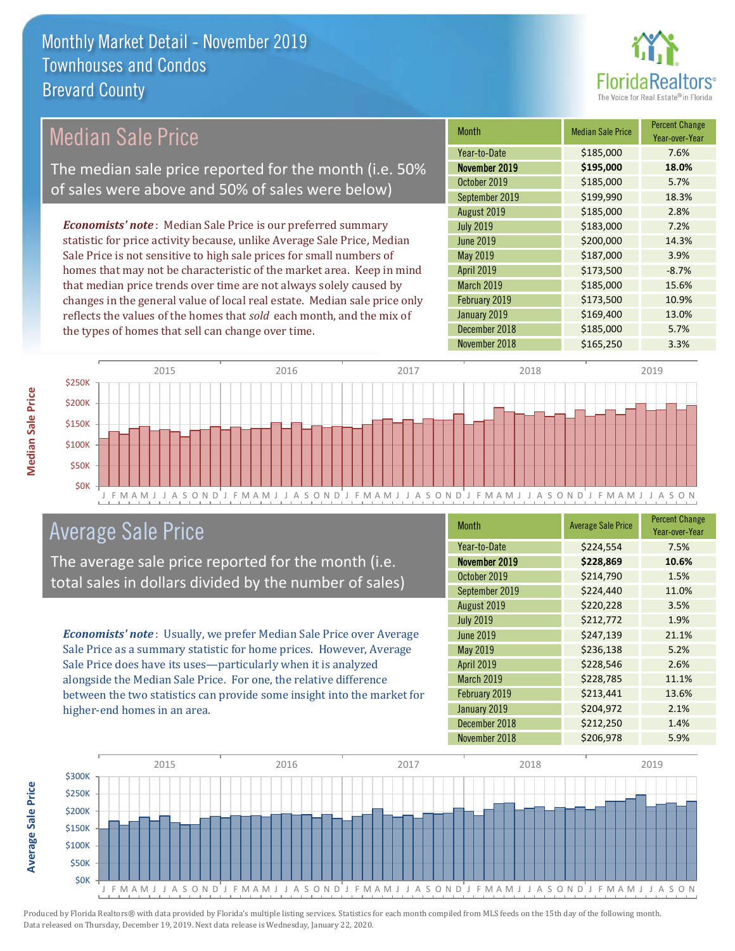

## Median Sale Price

The median sale price reported for the month (i.e. 50% of sales were above and 50% of sales were below)

*Economists' note* : Median Sale Price is our preferred summary statistic for price activity because, unlike Average Sale Price, Median Sale Price is not sensitive to high sale prices for small numbers of homes that may not be characteristic of the market area. Keep in mind that median price trends over time are not always solely caused by changes in the general value of local real estate. Median sale price only reflects the values of the homes that *sold* each month, and the mix of the types of homes that sell can change over time.

| <b>Month</b>     | <b>Median Sale Price</b> | <b>Percent Change</b><br>Year-over-Year |
|------------------|--------------------------|-----------------------------------------|
| Year-to-Date     | \$185,000                | 7.6%                                    |
| November 2019    | \$195,000                | 18.0%                                   |
| October 2019     | \$185,000                | 5.7%                                    |
| September 2019   | \$199,990                | 18.3%                                   |
| August 2019      | \$185,000                | 2.8%                                    |
| <b>July 2019</b> | \$183,000                | 7.2%                                    |
| <b>June 2019</b> | \$200,000                | 14.3%                                   |
| May 2019         | \$187,000                | 3.9%                                    |
| April 2019       | \$173,500                | $-8.7%$                                 |
| March 2019       | \$185,000                | 15.6%                                   |
| February 2019    | \$173,500                | 10.9%                                   |
| January 2019     | \$169,400                | 13.0%                                   |
| December 2018    | \$185,000                | 5.7%                                    |
| November 2018    | \$165,250                | 3.3%                                    |



## Average Sale Price

The average sale price reported for the month (i.e. total sales in dollars divided by the number of sales)

*Economists' note* : Usually, we prefer Median Sale Price over Average Sale Price as a summary statistic for home prices. However, Average Sale Price does have its uses—particularly when it is analyzed alongside the Median Sale Price. For one, the relative difference between the two statistics can provide some insight into the market for higher-end homes in an area.

| <b>Month</b>     | <b>Average Sale Price</b> | <b>Percent Change</b><br>Year-over-Year |
|------------------|---------------------------|-----------------------------------------|
| Year-to-Date     | \$224,554                 | 7.5%                                    |
| November 2019    | \$228,869                 | 10.6%                                   |
| October 2019     | \$214,790                 | 1.5%                                    |
| September 2019   | \$224,440                 | 11.0%                                   |
| August 2019      | \$220,228                 | 3.5%                                    |
| <b>July 2019</b> | \$212,772                 | 1.9%                                    |
| <b>June 2019</b> | \$247,139                 | 21.1%                                   |
| May 2019         | \$236,138                 | 5.2%                                    |
| April 2019       | \$228,546                 | 2.6%                                    |
| March 2019       | \$228,785                 | 11.1%                                   |
| February 2019    | \$213,441                 | 13.6%                                   |
| January 2019     | \$204,972                 | 2.1%                                    |
| December 2018    | \$212,250                 | 1.4%                                    |
| November 2018    | \$206,978                 | 5.9%                                    |



**Average Sale Price Average Sale Price**

**Median Sale Price**

**Median Sale Price**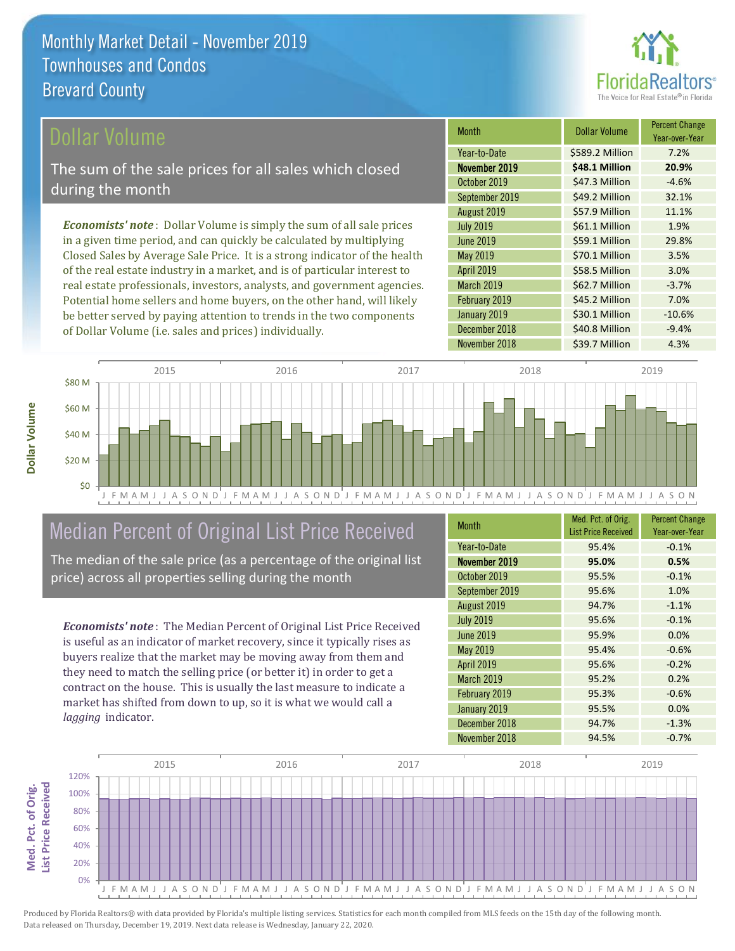

## ollar Volume

The sum of the sale prices for all sales which closed during the month

*Economists' note* : Dollar Volume is simply the sum of all sale prices in a given time period, and can quickly be calculated by multiplying Closed Sales by Average Sale Price. It is a strong indicator of the health of the real estate industry in a market, and is of particular interest to real estate professionals, investors, analysts, and government agencies. Potential home sellers and home buyers, on the other hand, will likely be better served by paying attention to trends in the two components of Dollar Volume (i.e. sales and prices) individually.

| Month             | <b>Dollar Volume</b> | <b>Percent Change</b><br>Year-over-Year |
|-------------------|----------------------|-----------------------------------------|
| Year-to-Date      | \$589.2 Million      | 7.2%                                    |
| November 2019     | \$48.1 Million       | 20.9%                                   |
| October 2019      | \$47.3 Million       | $-4.6%$                                 |
| September 2019    | \$49.2 Million       | 32.1%                                   |
| August 2019       | \$57.9 Million       | 11.1%                                   |
| <b>July 2019</b>  | \$61.1 Million       | 1.9%                                    |
| <b>June 2019</b>  | \$59.1 Million       | 29.8%                                   |
| May 2019          | \$70.1 Million       | 3.5%                                    |
| April 2019        | \$58.5 Million       | 3.0%                                    |
| <b>March 2019</b> | \$62.7 Million       | $-3.7%$                                 |
| February 2019     | \$45.2 Million       | 7.0%                                    |
| January 2019      | \$30.1 Million       | $-10.6%$                                |
| December 2018     | \$40.8 Million       | $-9.4%$                                 |
| November 2018     | \$39.7 Million       | 4.3%                                    |



## Median Percent of Original List Price Received

The median of the sale price (as a percentage of the original list price) across all properties selling during the month

*Economists' note* : The Median Percent of Original List Price Received is useful as an indicator of market recovery, since it typically rises as buyers realize that the market may be moving away from them and they need to match the selling price (or better it) in order to get a contract on the house. This is usually the last measure to indicate a market has shifted from down to up, so it is what we would call a *lagging* indicator.

| <b>Month</b>      | Med. Pct. of Orig.<br><b>List Price Received</b> | <b>Percent Change</b><br>Year-over-Year |
|-------------------|--------------------------------------------------|-----------------------------------------|
| Year-to-Date      | 95.4%                                            | $-0.1%$                                 |
| November 2019     | 95.0%                                            | 0.5%                                    |
| October 2019      | 95.5%                                            | $-0.1%$                                 |
| September 2019    | 95.6%                                            | 1.0%                                    |
| August 2019       | 94.7%                                            | $-1.1%$                                 |
| <b>July 2019</b>  | 95.6%                                            | $-0.1%$                                 |
| June 2019         | 95.9%                                            | 0.0%                                    |
| May 2019          | 95.4%                                            | $-0.6%$                                 |
| April 2019        | 95.6%                                            | $-0.2%$                                 |
| <b>March 2019</b> | 95.2%                                            | 0.2%                                    |
| February 2019     | 95.3%                                            | $-0.6%$                                 |
| January 2019      | 95.5%                                            | 0.0%                                    |
| December 2018     | 94.7%                                            | $-1.3%$                                 |
| November 2018     | 94.5%                                            | $-0.7%$                                 |

![](_page_3_Figure_11.jpeg)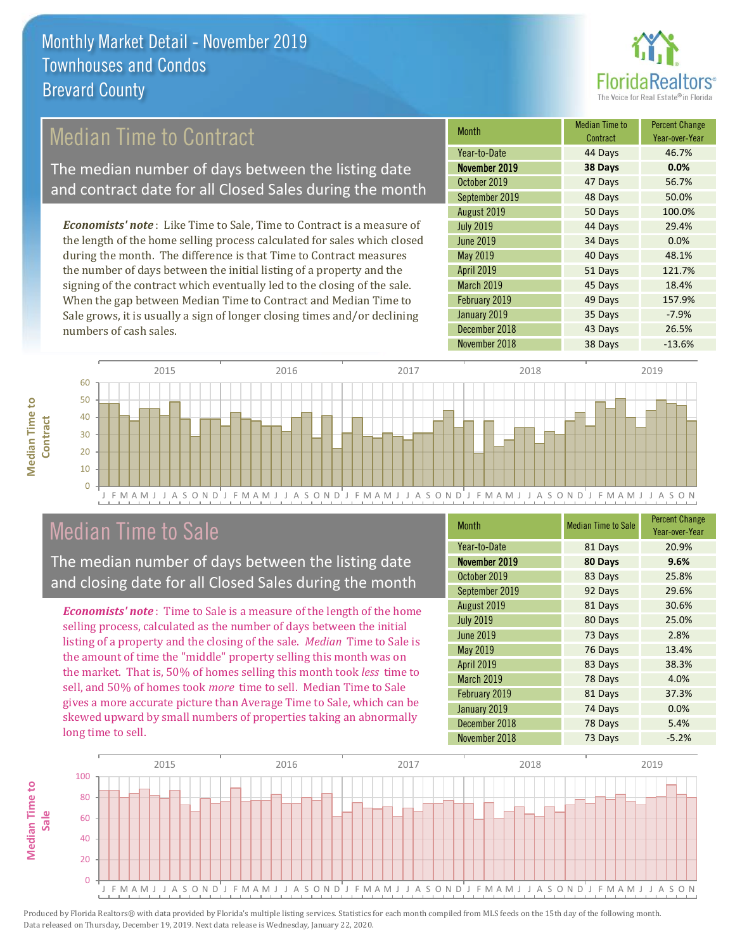![](_page_4_Picture_1.jpeg)

## Median Time to Contract

The median number of days between the listing date and contract date for all Closed Sales during the month

*Economists' note* : Like Time to Sale, Time to Contract is a measure of the length of the home selling process calculated for sales which closed during the month. The difference is that Time to Contract measures the number of days between the initial listing of a property and the signing of the contract which eventually led to the closing of the sale. When the gap between Median Time to Contract and Median Time to Sale grows, it is usually a sign of longer closing times and/or declining numbers of cash sales.

| Month             | <b>Median Time to</b><br>Contract | <b>Percent Change</b><br>Year-over-Year |
|-------------------|-----------------------------------|-----------------------------------------|
| Year-to-Date      | 44 Days                           | 46.7%                                   |
| November 2019     | 38 Days                           | 0.0%                                    |
| October 2019      | 47 Days                           | 56.7%                                   |
| September 2019    | 48 Days                           | 50.0%                                   |
| August 2019       | 50 Days                           | 100.0%                                  |
| <b>July 2019</b>  | 44 Days                           | 29.4%                                   |
| <b>June 2019</b>  | 34 Days                           | 0.0%                                    |
| May 2019          | 40 Days                           | 48.1%                                   |
| April 2019        | 51 Days                           | 121.7%                                  |
| <b>March 2019</b> | 45 Days                           | 18.4%                                   |
| February 2019     | 49 Days                           | 157.9%                                  |
| January 2019      | 35 Days                           | $-7.9%$                                 |
| December 2018     | 43 Days                           | 26.5%                                   |
| November 2018     | 38 Days                           | $-13.6%$                                |

![](_page_4_Figure_6.jpeg)

## Median Time to Sale

**Median Time to** 

**Median Time to** 

The median number of days between the listing date and closing date for all Closed Sales during the month

*Economists' note* : Time to Sale is a measure of the length of the home selling process, calculated as the number of days between the initial listing of a property and the closing of the sale. *Median* Time to Sale is the amount of time the "middle" property selling this month was on the market. That is, 50% of homes selling this month took *less* time to sell, and 50% of homes took *more* time to sell. Median Time to Sale gives a more accurate picture than Average Time to Sale, which can be skewed upward by small numbers of properties taking an abnormally long time to sell.

| <b>Month</b>     | <b>Median Time to Sale</b> | <b>Percent Change</b><br>Year-over-Year |
|------------------|----------------------------|-----------------------------------------|
| Year-to-Date     | 81 Days                    | 20.9%                                   |
| November 2019    | 80 Days                    | 9.6%                                    |
| October 2019     | 83 Days                    | 25.8%                                   |
| September 2019   | 92 Days                    | 29.6%                                   |
| August 2019      | 81 Days                    | 30.6%                                   |
| <b>July 2019</b> | 80 Days                    | 25.0%                                   |
| <b>June 2019</b> | 73 Days                    | 2.8%                                    |
| May 2019         | 76 Days                    | 13.4%                                   |
| April 2019       | 83 Days                    | 38.3%                                   |
| March 2019       | 78 Days                    | 4.0%                                    |
| February 2019    | 81 Days                    | 37.3%                                   |
| January 2019     | 74 Days                    | 0.0%                                    |
| December 2018    | 78 Days                    | 5.4%                                    |
| November 2018    | 73 Days                    | $-5.2%$                                 |

![](_page_4_Figure_11.jpeg)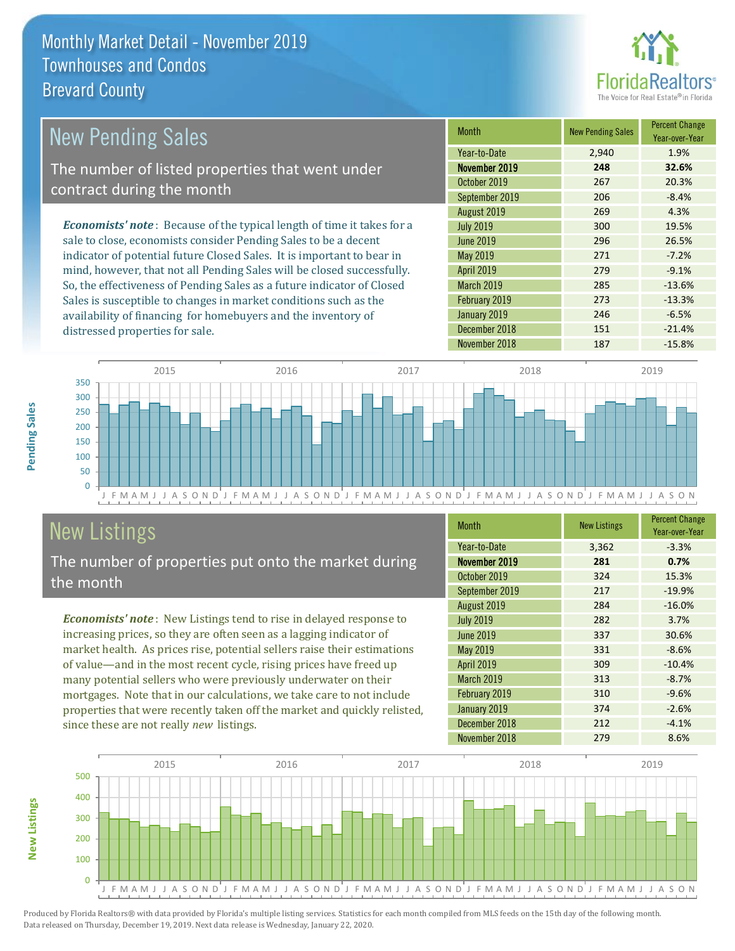![](_page_5_Picture_1.jpeg)

#### March 2019 285 -13.6% May 2019 **271** 271 -7.2% August 2019 269 4.3% July 2019 300 19.5% 20.3% September 2019 206 -8.4% June 2019 296 26.5% *Economists' note* : Because of the typical length of time it takes for a sale to close, economists consider Pending Sales to be a decent indicator of potential future Closed Sales. It is important to bear in mind, however, that not all Pending Sales will be closed successfully. So, the effectiveness of Pending Sales as a future indicator of Closed Month New Pending Sales Percent Change Year-over-Year November 2019 **248 32.6%** Year-to-Date 2,940 1.9% April 2019 279 -9.1% October 2019 267 New Pending Sales The number of listed properties that went under contract during the month

Sales is susceptible to changes in market conditions such as the availability of financing for homebuyers and the inventory of distressed properties for sale.

| November 2019     | 248 | 32.6%    |
|-------------------|-----|----------|
| October 2019      | 267 | 20.3%    |
| September 2019    | 206 | $-8.4%$  |
| August 2019       | 269 | 4.3%     |
| <b>July 2019</b>  | 300 | 19.5%    |
| June 2019         | 296 | 26.5%    |
| May 2019          | 271 | $-7.2%$  |
| <b>April 2019</b> | 279 | $-9.1%$  |
| <b>March 2019</b> | 285 | $-13.6%$ |
| February 2019     | 273 | $-13.3%$ |
| January 2019      | 246 | $-6.5%$  |
| December 2018     | 151 | $-21.4%$ |
| November 2018     | 187 | $-15.8%$ |

![](_page_5_Figure_5.jpeg)

# New Listings

The number of properties put onto the market during the month

*Economists' note* : New Listings tend to rise in delayed response to increasing prices, so they are often seen as a lagging indicator of market health. As prices rise, potential sellers raise their estimations of value—and in the most recent cycle, rising prices have freed up many potential sellers who were previously underwater on their mortgages. Note that in our calculations, we take care to not include properties that were recently taken off the market and quickly relisted, since these are not really *new* listings.

| <b>Month</b>      | <b>New Listings</b> | <b>Percent Change</b><br>Year-over-Year |
|-------------------|---------------------|-----------------------------------------|
| Year-to-Date      | 3,362               | $-3.3%$                                 |
| November 2019     | 281                 | 0.7%                                    |
| October 2019      | 324                 | 15.3%                                   |
| September 2019    | 217                 | $-19.9%$                                |
| August 2019       | 284                 | $-16.0%$                                |
| <b>July 2019</b>  | 282                 | 3.7%                                    |
| <b>June 2019</b>  | 337                 | 30.6%                                   |
| May 2019          | 331                 | $-8.6%$                                 |
| April 2019        | 309                 | $-10.4%$                                |
| <b>March 2019</b> | 313                 | $-8.7%$                                 |
| February 2019     | 310                 | $-9.6%$                                 |
| January 2019      | 374                 | $-2.6%$                                 |
| December 2018     | 212                 | $-4.1%$                                 |
| November 2018     | 279                 | 8.6%                                    |

![](_page_5_Figure_10.jpeg)

Produced by Florida Realtors® with data provided by Florida's multiple listing services. Statistics for each month compiled from MLS feeds on the 15th day of the following month. Data released on Thursday, December 19, 2019. Next data release is Wednesday, January 22, 2020.

**New Listings**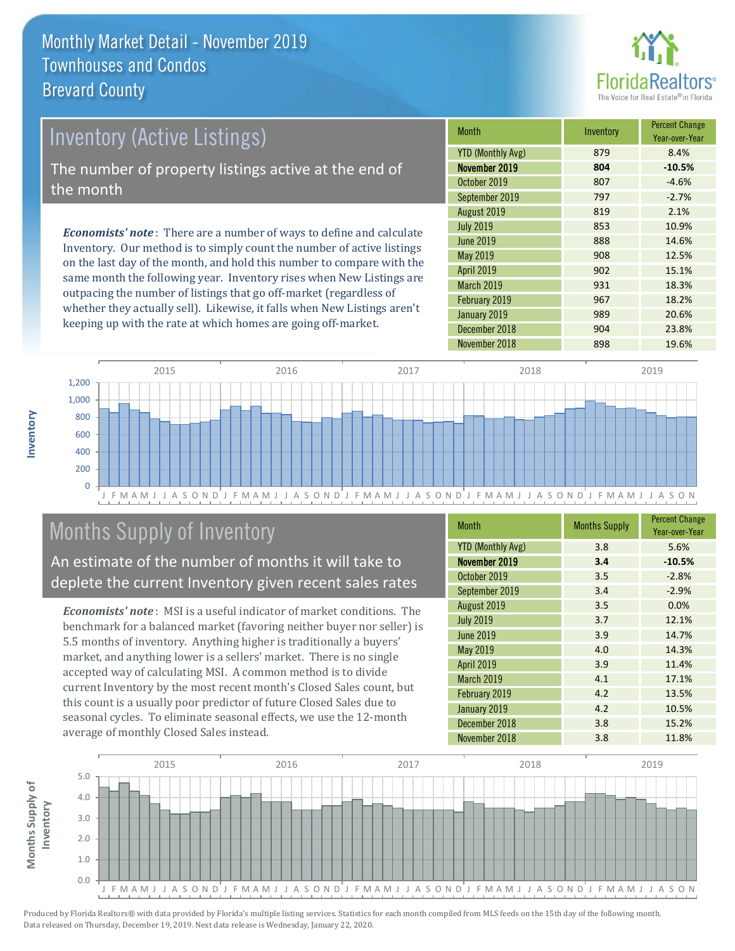![](_page_6_Picture_1.jpeg)

## *Economists' note* : There are a number of ways to define and calculate Inventory. Our method is to simply count the number of active listings Inventory (Active Listings) The number of property listings active at the end of the month

on the last day of the month, and hold this number to compare with the same month the following year. Inventory rises when New Listings are outpacing the number of listings that go off-market (regardless of whether they actually sell). Likewise, it falls when New Listings aren't keeping up with the rate at which homes are going off-market.

| <b>Month</b>             | Inventory | <b>Percent Change</b><br>Year-over-Year |
|--------------------------|-----------|-----------------------------------------|
| <b>YTD (Monthly Avg)</b> | 879       | 8.4%                                    |
| November 2019            | 804       | $-10.5%$                                |
| October 2019             | 807       | $-4.6%$                                 |
| September 2019           | 797       | $-2.7%$                                 |
| August 2019              | 819       | 2.1%                                    |
| <b>July 2019</b>         | 853       | 10.9%                                   |
| <b>June 2019</b>         | 888       | 14.6%                                   |
| May 2019                 | 908       | 12.5%                                   |
| <b>April 2019</b>        | 902       | 15.1%                                   |
| March 2019               | 931       | 18.3%                                   |
| February 2019            | 967       | 18.2%                                   |
| January 2019             | 989       | 20.6%                                   |
| December 2018            | 904       | 23.8%                                   |
| November 2018            | 898       | 19.6%                                   |

![](_page_6_Figure_5.jpeg)

## Months Supply of Inventory

An estimate of the number of months it will take to deplete the current Inventory given recent sales rates

*Economists' note* : MSI is a useful indicator of market conditions. The benchmark for a balanced market (favoring neither buyer nor seller) is 5.5 months of inventory. Anything higher is traditionally a buyers' market, and anything lower is a sellers' market. There is no single accepted way of calculating MSI. A common method is to divide current Inventory by the most recent month's Closed Sales count, but this count is a usually poor predictor of future Closed Sales due to seasonal cycles. To eliminate seasonal effects, we use the 12-month average of monthly Closed Sales instead.

| <b>Month</b>             | <b>Months Supply</b> | <b>Percent Change</b><br>Year-over-Year |
|--------------------------|----------------------|-----------------------------------------|
| <b>YTD (Monthly Avg)</b> | 3.8                  | 5.6%                                    |
| November 2019            | 3.4                  | $-10.5%$                                |
| October 2019             | 3.5                  | $-2.8%$                                 |
| September 2019           | 3.4                  | $-2.9%$                                 |
| August 2019              | 3.5                  | 0.0%                                    |
| <b>July 2019</b>         | 3.7                  | 12.1%                                   |
| <b>June 2019</b>         | 3.9                  | 14.7%                                   |
| May 2019                 | 4.0                  | 14.3%                                   |
| <b>April 2019</b>        | 3.9                  | 11.4%                                   |
| <b>March 2019</b>        | 4.1                  | 17.1%                                   |
| February 2019            | 4.2                  | 13.5%                                   |
| January 2019             | 4.2                  | 10.5%                                   |
| December 2018            | 3.8                  | 15.2%                                   |
| November 2018            | 3.8                  | 11.8%                                   |

![](_page_6_Figure_10.jpeg)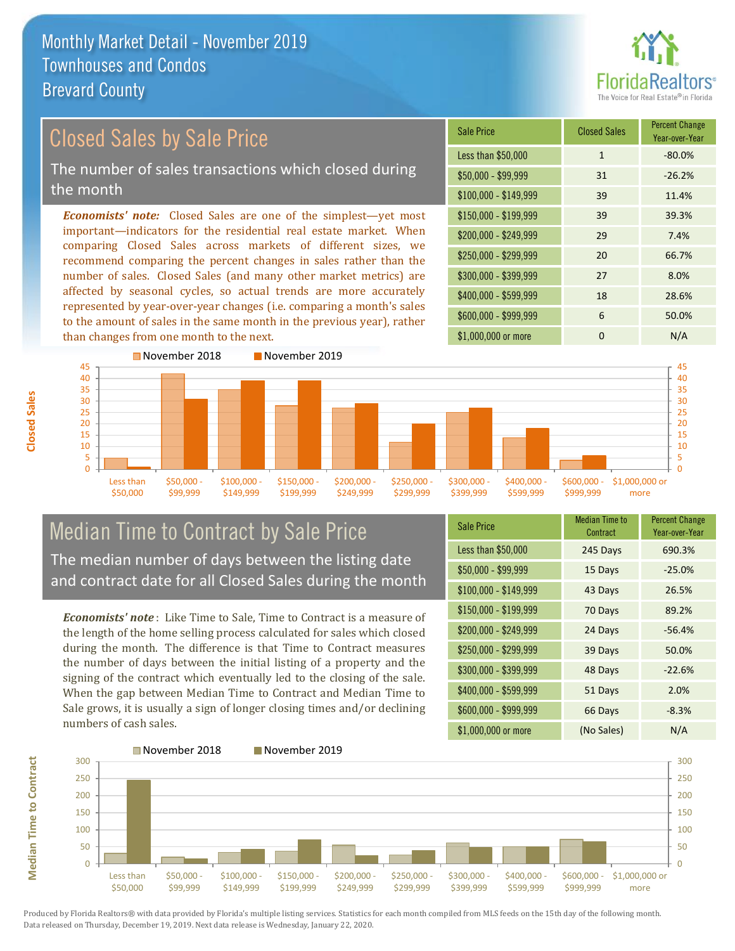![](_page_7_Picture_1.jpeg)

## *Economists' note:* Closed Sales are one of the simplest—yet most important—indicators for the residential real estate market. When Closed Sales by Sale Price The number of sales transactions which closed during the month

comparing Closed Sales across markets of different sizes, we recommend comparing the percent changes in sales rather than the number of sales. Closed Sales (and many other market metrics) are affected by seasonal cycles, so actual trends are more accurately represented by year-over-year changes (i.e. comparing a month's sales to the amount of sales in the same month in the previous year), rather than changes from one month to the next.

![](_page_7_Picture_4.jpeg)

![](_page_7_Figure_5.jpeg)

## Median Time to Contract by Sale Price The median number of days between the listing date and contract date for all Closed Sales during the month

*Economists' note* : Like Time to Sale, Time to Contract is a measure of the length of the home selling process calculated for sales which closed during the month. The difference is that Time to Contract measures the number of days between the initial listing of a property and the signing of the contract which eventually led to the closing of the sale. When the gap between Median Time to Contract and Median Time to Sale grows, it is usually a sign of longer closing times and/or declining numbers of cash sales.

| <b>Sale Price</b>     | Median Time to<br>Contract | <b>Percent Change</b><br>Year-over-Year |
|-----------------------|----------------------------|-----------------------------------------|
| Less than \$50,000    | 245 Days                   | 690.3%                                  |
| $$50,000 - $99,999$   | 15 Days                    | $-25.0%$                                |
| $$100,000 - $149,999$ | 43 Days                    | 26.5%                                   |
| $$150,000 - $199,999$ | 70 Days                    | 89.2%                                   |
| \$200,000 - \$249,999 | 24 Days                    | $-56.4%$                                |
| \$250,000 - \$299,999 | 39 Days                    | 50.0%                                   |
| \$300,000 - \$399,999 | 48 Days                    | $-22.6%$                                |
| \$400,000 - \$599,999 | 51 Days                    | 2.0%                                    |
| \$600,000 - \$999,999 | 66 Days                    | $-8.3%$                                 |
| \$1,000,000 or more   | (No Sales)                 | N/A                                     |

![](_page_7_Figure_9.jpeg)

Produced by Florida Realtors® with data provided by Florida's multiple listing services. Statistics for each month compiled from MLS feeds on the 15th day of the following month. Data released on Thursday, December 19, 2019. Next data release is Wednesday, January 22, 2020.

**Median Time to Contract**

**Median Time to Contract**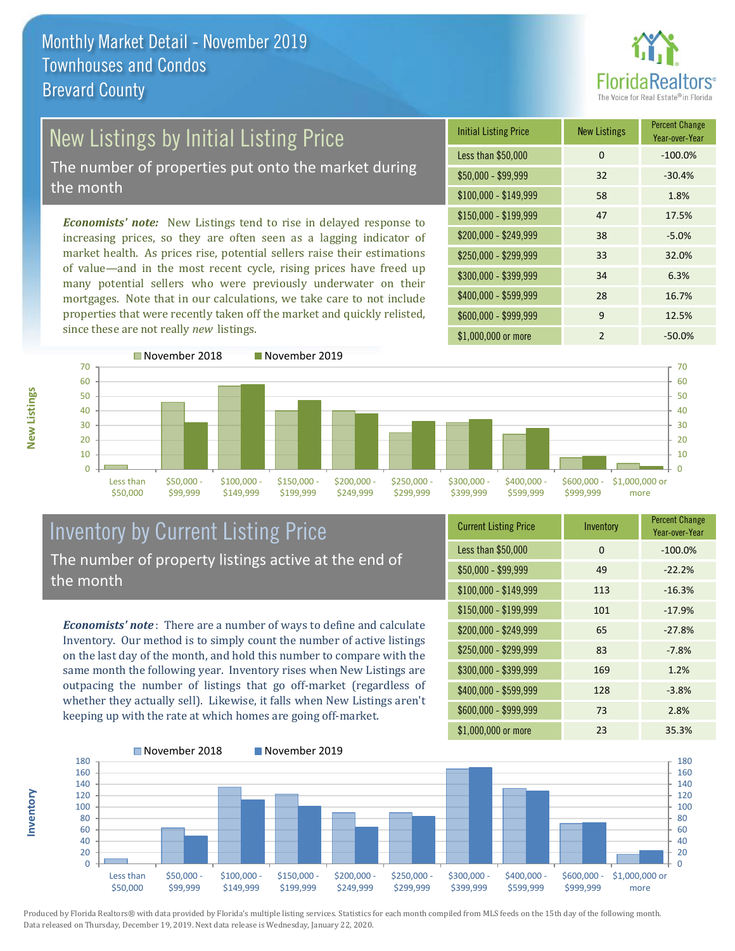![](_page_8_Picture_1.jpeg)

# New Listings by Initial Listing Price

The number of properties put onto the market during the month

*Economists' note:* New Listings tend to rise in delayed response to increasing prices, so they are often seen as a lagging indicator of market health. As prices rise, potential sellers raise their estimations of value—and in the most recent cycle, rising prices have freed up many potential sellers who were previously underwater on their mortgages. Note that in our calculations, we take care to not include properties that were recently taken off the market and quickly relisted, since these are not really *new* listings.

| <b>Initial Listing Price</b> | <b>New Listings</b> | <b>Percent Change</b><br>Year-over-Year |
|------------------------------|---------------------|-----------------------------------------|
| Less than \$50,000           | 0                   | $-100.0%$                               |
| $$50,000 - $99,999$          | 32                  | $-30.4%$                                |
| $$100,000 - $149,999$        | 58                  | 1.8%                                    |
| $$150,000 - $199,999$        | 47                  | 17.5%                                   |
| \$200,000 - \$249,999        | 38                  | $-5.0%$                                 |
| \$250,000 - \$299,999        | 33                  | 32.0%                                   |
| \$300,000 - \$399,999        | 34                  | 6.3%                                    |
| \$400,000 - \$599,999        | 28                  | 16.7%                                   |
| \$600,000 - \$999,999        | 9                   | 12.5%                                   |
| \$1,000,000 or more          | $\mathfrak{p}$      | $-50.0\%$                               |

![](_page_8_Figure_6.jpeg)

### Inventory by Current Listing Price The number of property listings active at the end of the month

*Economists' note* : There are a number of ways to define and calculate Inventory. Our method is to simply count the number of active listings on the last day of the month, and hold this number to compare with the same month the following year. Inventory rises when New Listings are outpacing the number of listings that go off-market (regardless of whether they actually sell). Likewise, it falls when New Listings aren't keeping up with the rate at which homes are going off-market.

| <b>Current Listing Price</b> | Inventory | <b>Percent Change</b><br>Year-over-Year |
|------------------------------|-----------|-----------------------------------------|
| Less than \$50,000           | $\Omega$  | $-100.0%$                               |
| $$50,000 - $99,999$          | 49        | $-22.2%$                                |
| $$100,000 - $149,999$        | 113       | $-16.3%$                                |
| $$150,000 - $199,999$        | 101       | $-17.9%$                                |
| \$200,000 - \$249,999        | 65        | $-27.8%$                                |
| \$250,000 - \$299,999        | 83        | $-7.8%$                                 |
| \$300,000 - \$399,999        | 169       | 1.2%                                    |
| \$400,000 - \$599,999        | 128       | $-3.8%$                                 |
| \$600,000 - \$999,999        | 73        | 2.8%                                    |
| \$1,000,000 or more          | 23        | 35.3%                                   |

![](_page_8_Figure_10.jpeg)

Produced by Florida Realtors® with data provided by Florida's multiple listing services. Statistics for each month compiled from MLS feeds on the 15th day of the following month. Data released on Thursday, December 19, 2019. Next data release is Wednesday, January 22, 2020.

**Inventory**